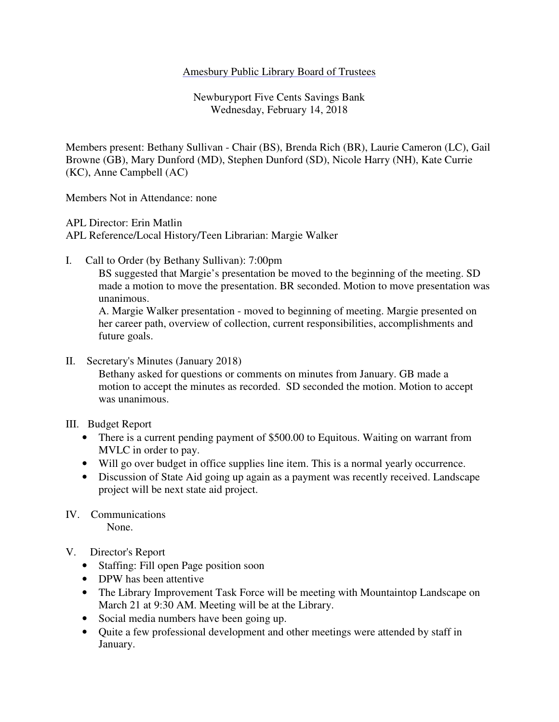### Amesbury Public Library Board of Trustees

Newburyport Five Cents Savings Bank Wednesday, February 14, 2018

Members present: Bethany Sullivan - Chair (BS), Brenda Rich (BR), Laurie Cameron (LC), Gail Browne (GB), Mary Dunford (MD), Stephen Dunford (SD), Nicole Harry (NH), Kate Currie (KC), Anne Campbell (AC)

Members Not in Attendance: none

APL Director: Erin Matlin

APL Reference/Local History/Teen Librarian: Margie Walker

I. Call to Order (by Bethany Sullivan): 7:00pm

 BS suggested that Margie's presentation be moved to the beginning of the meeting. SD made a motion to move the presentation. BR seconded. Motion to move presentation was unanimous.

A. Margie Walker presentation - moved to beginning of meeting. Margie presented on her career path, overview of collection, current responsibilities, accomplishments and future goals.

II. Secretary's Minutes (January 2018)

 Bethany asked for questions or comments on minutes from January. GB made a motion to accept the minutes as recorded. SD seconded the motion. Motion to accept was unanimous.

III. Budget Report

- There is a current pending payment of \$500.00 to Equitous. Waiting on warrant from MVLC in order to pay.
- Will go over budget in office supplies line item. This is a normal yearly occurrence.
- Discussion of State Aid going up again as a payment was recently received. Landscape project will be next state aid project.
- IV. Communications None.
- V. Director's Report
	- Staffing: Fill open Page position soon
	- DPW has been attentive
	- The Library Improvement Task Force will be meeting with Mountaintop Landscape on March 21 at 9:30 AM. Meeting will be at the Library.
	- Social media numbers have been going up.
	- Quite a few professional development and other meetings were attended by staff in January.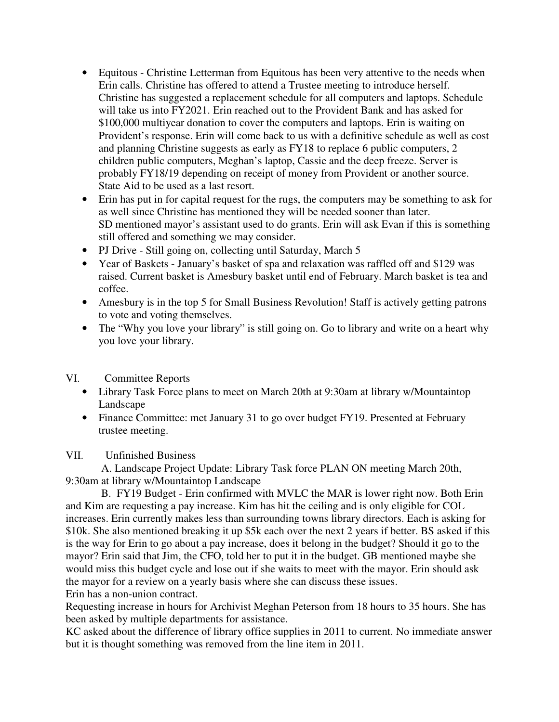- Equitous Christine Letterman from Equitous has been very attentive to the needs when Erin calls. Christine has offered to attend a Trustee meeting to introduce herself. Christine has suggested a replacement schedule for all computers and laptops. Schedule will take us into FY2021. Erin reached out to the Provident Bank and has asked for \$100,000 multiyear donation to cover the computers and laptops. Erin is waiting on Provident's response. Erin will come back to us with a definitive schedule as well as cost and planning Christine suggests as early as FY18 to replace 6 public computers, 2 children public computers, Meghan's laptop, Cassie and the deep freeze. Server is probably FY18/19 depending on receipt of money from Provident or another source. State Aid to be used as a last resort.
- Erin has put in for capital request for the rugs, the computers may be something to ask for as well since Christine has mentioned they will be needed sooner than later. SD mentioned mayor's assistant used to do grants. Erin will ask Evan if this is something still offered and something we may consider.
- PJ Drive Still going on, collecting until Saturday, March 5
- Year of Baskets January's basket of spa and relaxation was raffled off and \$129 was raised. Current basket is Amesbury basket until end of February. March basket is tea and coffee.
- Amesbury is in the top 5 for Small Business Revolution! Staff is actively getting patrons to vote and voting themselves.
- The "Why you love your library" is still going on. Go to library and write on a heart why you love your library.

## VI. Committee Reports

- Library Task Force plans to meet on March 20th at 9:30am at library w/Mountaintop Landscape
- Finance Committee: met January 31 to go over budget FY19. Presented at February trustee meeting.

# VII. Unfinished Business

 A. Landscape Project Update: Library Task force PLAN ON meeting March 20th, 9:30am at library w/Mountaintop Landscape

 B. FY19 Budget - Erin confirmed with MVLC the MAR is lower right now. Both Erin and Kim are requesting a pay increase. Kim has hit the ceiling and is only eligible for COL increases. Erin currently makes less than surrounding towns library directors. Each is asking for \$10k. She also mentioned breaking it up \$5k each over the next 2 years if better. BS asked if this is the way for Erin to go about a pay increase, does it belong in the budget? Should it go to the mayor? Erin said that Jim, the CFO, told her to put it in the budget. GB mentioned maybe she would miss this budget cycle and lose out if she waits to meet with the mayor. Erin should ask the mayor for a review on a yearly basis where she can discuss these issues. Erin has a non-union contract.

Requesting increase in hours for Archivist Meghan Peterson from 18 hours to 35 hours. She has been asked by multiple departments for assistance.

KC asked about the difference of library office supplies in 2011 to current. No immediate answer but it is thought something was removed from the line item in 2011.